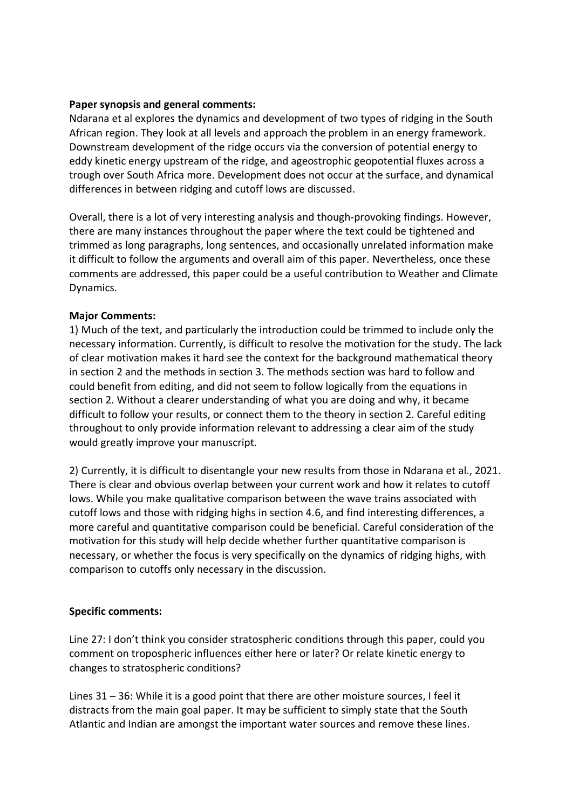## **Paper synopsis and general comments:**

Ndarana et al explores the dynamics and development of two types of ridging in the South African region. They look at all levels and approach the problem in an energy framework. Downstream development of the ridge occurs via the conversion of potential energy to eddy kinetic energy upstream of the ridge, and ageostrophic geopotential fluxes across a trough over South Africa more. Development does not occur at the surface, and dynamical differences in between ridging and cutoff lows are discussed.

Overall, there is a lot of very interesting analysis and though-provoking findings. However, there are many instances throughout the paper where the text could be tightened and trimmed as long paragraphs, long sentences, and occasionally unrelated information make it difficult to follow the arguments and overall aim of this paper. Nevertheless, once these comments are addressed, this paper could be a useful contribution to Weather and Climate Dynamics.

## **Major Comments:**

1) Much of the text, and particularly the introduction could be trimmed to include only the necessary information. Currently, is difficult to resolve the motivation for the study. The lack of clear motivation makes it hard see the context for the background mathematical theory in section 2 and the methods in section 3. The methods section was hard to follow and could benefit from editing, and did not seem to follow logically from the equations in section 2. Without a clearer understanding of what you are doing and why, it became difficult to follow your results, or connect them to the theory in section 2. Careful editing throughout to only provide information relevant to addressing a clear aim of the study would greatly improve your manuscript.

2) Currently, it is difficult to disentangle your new results from those in Ndarana et al., 2021. There is clear and obvious overlap between your current work and how it relates to cutoff lows. While you make qualitative comparison between the wave trains associated with cutoff lows and those with ridging highs in section 4.6, and find interesting differences, a more careful and quantitative comparison could be beneficial. Careful consideration of the motivation for this study will help decide whether further quantitative comparison is necessary, or whether the focus is very specifically on the dynamics of ridging highs, with comparison to cutoffs only necessary in the discussion.

## **Specific comments:**

Line 27: I don't think you consider stratospheric conditions through this paper, could you comment on tropospheric influences either here or later? Or relate kinetic energy to changes to stratospheric conditions?

Lines 31 – 36: While it is a good point that there are other moisture sources, I feel it distracts from the main goal paper. It may be sufficient to simply state that the South Atlantic and Indian are amongst the important water sources and remove these lines.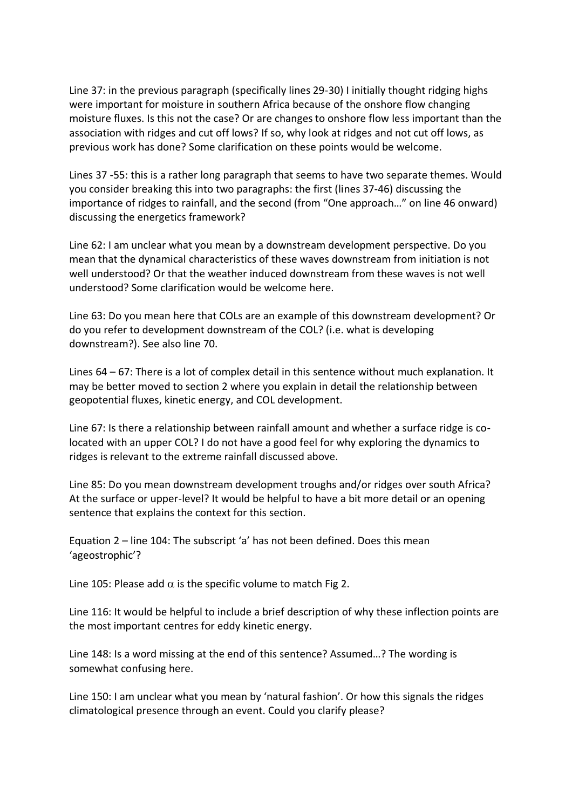Line 37: in the previous paragraph (specifically lines 29-30) I initially thought ridging highs were important for moisture in southern Africa because of the onshore flow changing moisture fluxes. Is this not the case? Or are changes to onshore flow less important than the association with ridges and cut off lows? If so, why look at ridges and not cut off lows, as previous work has done? Some clarification on these points would be welcome.

Lines 37 -55: this is a rather long paragraph that seems to have two separate themes. Would you consider breaking this into two paragraphs: the first (lines 37-46) discussing the importance of ridges to rainfall, and the second (from "One approach…" on line 46 onward) discussing the energetics framework?

Line 62: I am unclear what you mean by a downstream development perspective. Do you mean that the dynamical characteristics of these waves downstream from initiation is not well understood? Or that the weather induced downstream from these waves is not well understood? Some clarification would be welcome here.

Line 63: Do you mean here that COLs are an example of this downstream development? Or do you refer to development downstream of the COL? (i.e. what is developing downstream?). See also line 70.

Lines 64 – 67: There is a lot of complex detail in this sentence without much explanation. It may be better moved to section 2 where you explain in detail the relationship between geopotential fluxes, kinetic energy, and COL development.

Line 67: Is there a relationship between rainfall amount and whether a surface ridge is colocated with an upper COL? I do not have a good feel for why exploring the dynamics to ridges is relevant to the extreme rainfall discussed above.

Line 85: Do you mean downstream development troughs and/or ridges over south Africa? At the surface or upper-level? It would be helpful to have a bit more detail or an opening sentence that explains the context for this section.

Equation 2 – line 104: The subscript 'a' has not been defined. Does this mean 'ageostrophic'?

Line 105: Please add  $\alpha$  is the specific volume to match Fig 2.

Line 116: It would be helpful to include a brief description of why these inflection points are the most important centres for eddy kinetic energy.

Line 148: Is a word missing at the end of this sentence? Assumed…? The wording is somewhat confusing here.

Line 150: I am unclear what you mean by 'natural fashion'. Or how this signals the ridges climatological presence through an event. Could you clarify please?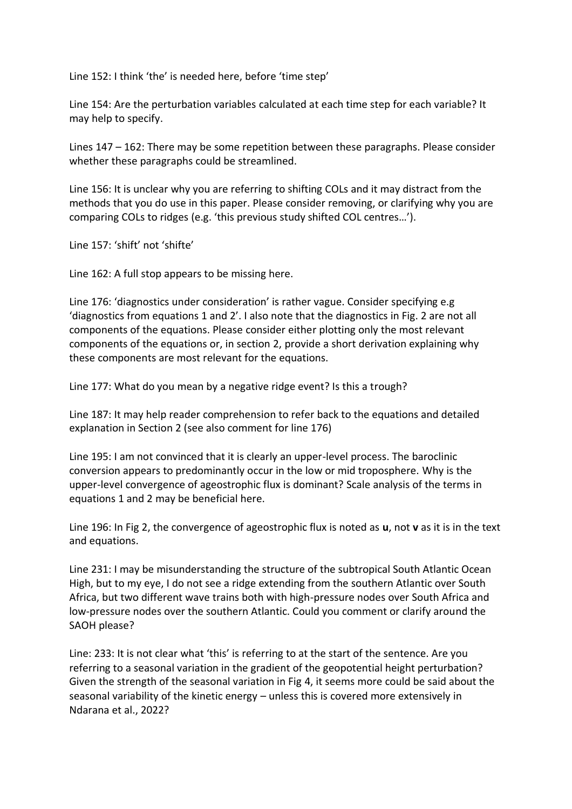Line 152: I think 'the' is needed here, before 'time step'

Line 154: Are the perturbation variables calculated at each time step for each variable? It may help to specify.

Lines 147 – 162: There may be some repetition between these paragraphs. Please consider whether these paragraphs could be streamlined.

Line 156: It is unclear why you are referring to shifting COLs and it may distract from the methods that you do use in this paper. Please consider removing, or clarifying why you are comparing COLs to ridges (e.g. 'this previous study shifted COL centres…').

Line 157: 'shift' not 'shifte'

Line 162: A full stop appears to be missing here.

Line 176: 'diagnostics under consideration' is rather vague. Consider specifying e.g 'diagnostics from equations 1 and 2'. I also note that the diagnostics in Fig. 2 are not all components of the equations. Please consider either plotting only the most relevant components of the equations or, in section 2, provide a short derivation explaining why these components are most relevant for the equations.

Line 177: What do you mean by a negative ridge event? Is this a trough?

Line 187: It may help reader comprehension to refer back to the equations and detailed explanation in Section 2 (see also comment for line 176)

Line 195: I am not convinced that it is clearly an upper-level process. The baroclinic conversion appears to predominantly occur in the low or mid troposphere. Why is the upper-level convergence of ageostrophic flux is dominant? Scale analysis of the terms in equations 1 and 2 may be beneficial here.

Line 196: In Fig 2, the convergence of ageostrophic flux is noted as **u**, not **v** as it is in the text and equations.

Line 231: I may be misunderstanding the structure of the subtropical South Atlantic Ocean High, but to my eye, I do not see a ridge extending from the southern Atlantic over South Africa, but two different wave trains both with high-pressure nodes over South Africa and low-pressure nodes over the southern Atlantic. Could you comment or clarify around the SAOH please?

Line: 233: It is not clear what 'this' is referring to at the start of the sentence. Are you referring to a seasonal variation in the gradient of the geopotential height perturbation? Given the strength of the seasonal variation in Fig 4, it seems more could be said about the seasonal variability of the kinetic energy – unless this is covered more extensively in Ndarana et al., 2022?